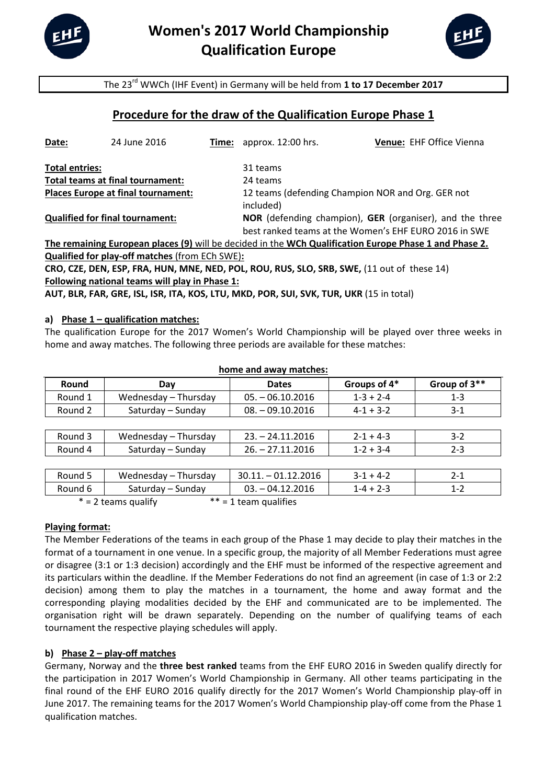



The 23rd WWCh (IHF Event) in Germany will be held from **1 to 17 December 2017**

# **Procedure for the draw of the Qualification Europe Phase 1**

| Date:                                     | 24 June 2016 |          | <b>Time:</b> approx. 12:00 hrs.                          | Venue: EHF Office Vienna                                                                               |  |
|-------------------------------------------|--------------|----------|----------------------------------------------------------|--------------------------------------------------------------------------------------------------------|--|
| <b>Total entries:</b>                     |              |          | 31 teams                                                 |                                                                                                        |  |
| Total teams at final tournament:          |              | 24 teams |                                                          |                                                                                                        |  |
| <b>Places Europe at final tournament:</b> |              |          | 12 teams (defending Champion NOR and Org. GER not        |                                                                                                        |  |
|                                           |              |          | included)                                                |                                                                                                        |  |
| <b>Qualified for final tournament:</b>    |              |          | NOR (defending champion), GER (organiser), and the three |                                                                                                        |  |
|                                           |              |          |                                                          | best ranked teams at the Women's EHF EURO 2016 in SWE                                                  |  |
|                                           |              |          |                                                          | The remaining European places (9) will be decided in the WCh Qualification Europe Phase 1 and Phase 2. |  |

**Qualified for play-off matches** (from ECh SWE)**:**

| CRO, CZE, DEN, ESP, FRA, HUN, MNE, NED, POL, ROU, RUS, SLO, SRB, SWE, (11 out of these 14) |  |
|--------------------------------------------------------------------------------------------|--|
| Following national teams will play in Phase 1:                                             |  |

**AUT, BLR, FAR, GRE, ISL, ISR, ITA, KOS, LTU, MKD, POR, SUI, SVK, TUR, UKR** (15 in total)

### **a) Phase 1 – qualification matches:**

The qualification Europe for the 2017 Women's World Championship will be played over three weeks in home and away matches. The following three periods are available for these matches:

| <b>NUMBER AND A MODE IN THE STATE</b> |                      |                      |                 |              |  |  |  |  |
|---------------------------------------|----------------------|----------------------|-----------------|--------------|--|--|--|--|
| Round                                 | Day                  | <b>Dates</b>         | Groups of 4*    | Group of 3** |  |  |  |  |
| Round 1                               | Wednesday - Thursday | $05. - 06.10.2016$   | $1-3 + 2-4$     | $1 - 3$      |  |  |  |  |
| Round 2                               | Saturday - Sunday    | $08. - 09.10.2016$   | $4 - 1 + 3 - 2$ | $3-1$        |  |  |  |  |
|                                       |                      |                      |                 |              |  |  |  |  |
| Round 3                               | Wednesday - Thursday | $23. - 24.11.2016$   | $2 - 1 + 4 - 3$ | $3 - 2$      |  |  |  |  |
| Round 4                               | Saturday - Sunday    | $26. - 27.11.2016$   | $1 - 2 + 3 - 4$ | $2 - 3$      |  |  |  |  |
|                                       |                      |                      |                 |              |  |  |  |  |
| Round 5                               | Wednesday - Thursday | $30.11 - 01.12.2016$ | $3-1 + 4-2$     | $2 - 1$      |  |  |  |  |
| Round 6                               | Saturday - Sunday    | $03. - 04.12.2016$   | $1 - 4 + 2 - 3$ | $1 - 2$      |  |  |  |  |

#### **home and away matches:**

 $* = 2$  teams qualify  $* = 1$  team qualifies

### **Playing format:**

The Member Federations of the teams in each group of the Phase 1 may decide to play their matches in the format of a tournament in one venue. In a specific group, the majority of all Member Federations must agree or disagree (3:1 or 1:3 decision) accordingly and the EHF must be informed of the respective agreement and its particulars within the deadline. If the Member Federations do not find an agreement (in case of 1:3 or 2:2 decision) among them to play the matches in a tournament, the home and away format and the corresponding playing modalities decided by the EHF and communicated are to be implemented. The organisation right will be drawn separately. Depending on the number of qualifying teams of each tournament the respective playing schedules will apply.

# **b) Phase 2 – play-off matches**

Germany, Norway and the **three best ranked** teams from the EHF EURO 2016 in Sweden qualify directly for the participation in 2017 Women's World Championship in Germany. All other teams participating in the final round of the EHF EURO 2016 qualify directly for the 2017 Women's World Championship play-off in June 2017. The remaining teams for the 2017 Women's World Championship play-off come from the Phase 1 qualification matches.